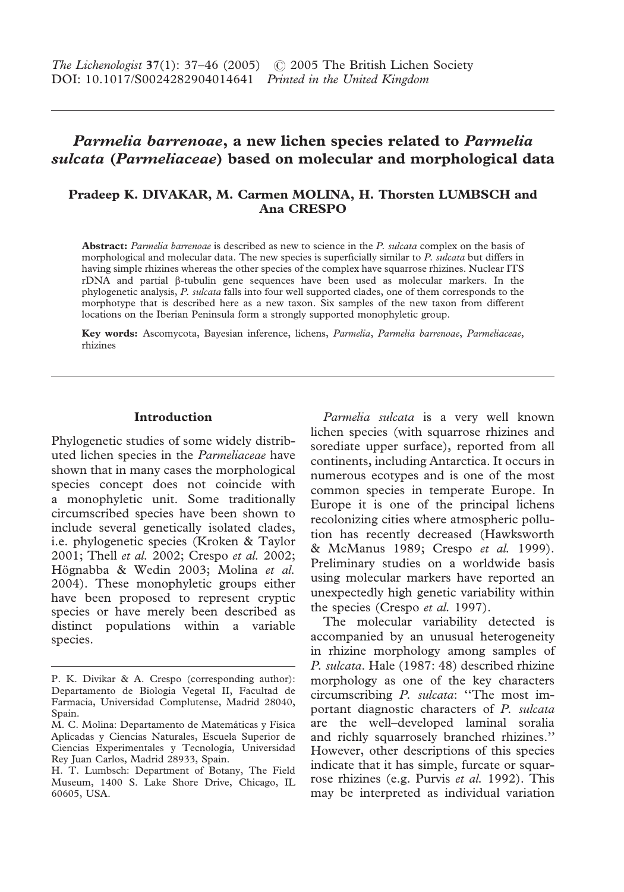# *Parmelia barrenoae***, a new lichen species related to** *Parmelia sulcata* **(***Parmeliaceae***) based on molecular and morphological data**

# **Pradeep K. DIVAKAR, M. Carmen MOLINA, H. Thorsten LUMBSCH and Ana CRESPO**

**Abstract:** *Parmelia barrenoae* is described as new to science in the *P. sulcata* complex on the basis of morphological and molecular data. The new species is superficially similar to *P. sulcata* but differs in having simple rhizines whereas the other species of the complex have squarrose rhizines. Nuclear ITS  $rDNA$  and partial  $\beta$ -tubulin gene sequences have been used as molecular markers. In the phylogenetic analysis, *P. sulcata* falls into four well supported clades, one of them corresponds to the morphotype that is described here as a new taxon. Six samples of the new taxon from different locations on the Iberian Peninsula form a strongly supported monophyletic group.

**Key words:** Ascomycota, Bayesian inference, lichens, *Parmelia*, *Parmelia barrenoae*, *Parmeliaceae*, rhizines

# **Introduction**

Phylogenetic studies of some widely distributed lichen species in the *Parmeliaceae* have shown that in many cases the morphological species concept does not coincide with a monophyletic unit. Some traditionally circumscribed species have been shown to include several genetically isolated clades, i.e. phylogenetic species (Kroken & Taylor 2001; Thell *et al.* 2002; Crespo *et al.* 2002; Högnabba & Wedin 2003; Molina *et al.* 2004). These monophyletic groups either have been proposed to represent cryptic species or have merely been described as distinct populations within a variable species.

*Parmelia sulcata* is a very well known lichen species (with squarrose rhizines and sorediate upper surface), reported from all continents, including Antarctica. It occurs in numerous ecotypes and is one of the most common species in temperate Europe. In Europe it is one of the principal lichens recolonizing cities where atmospheric pollution has recently decreased (Hawksworth & McManus 1989; Crespo *et al.* 1999). Preliminary studies on a worldwide basis using molecular markers have reported an unexpectedly high genetic variability within the species (Crespo *et al.* 1997).

The molecular variability detected is accompanied by an unusual heterogeneity in rhizine morphology among samples of *P. sulcata*. Hale (1987: 48) described rhizine morphology as one of the key characters circumscribing *P. sulcata*: ''The most important diagnostic characters of *P. sulcata* are the well–developed laminal soralia and richly squarrosely branched rhizines.'' However, other descriptions of this species indicate that it has simple, furcate or squarrose rhizines (e.g. Purvis *et al.* 1992). This may be interpreted as individual variation

P. K. Divikar & A. Crespo (corresponding author): Departamento de Biología Vegetal II, Facultad de Farmacia, Universidad Complutense, Madrid 28040, Spain.

M. C. Molina: Departamento de Matemáticas y Física Aplicadas y Ciencias Naturales, Escuela Superior de Ciencias Experimentales y Tecnología, Universidad Rey Juan Carlos, Madrid 28933, Spain.

H. T. Lumbsch: Department of Botany, The Field Museum, 1400 S. Lake Shore Drive, Chicago, IL 60605, USA.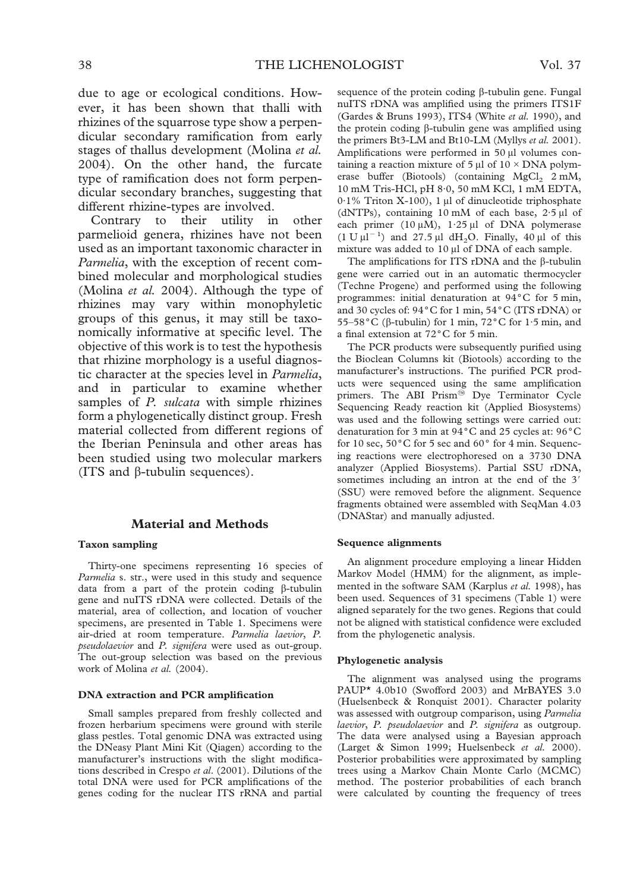due to age or ecological conditions. However, it has been shown that thalli with rhizines of the squarrose type show a perpendicular secondary ramification from early stages of thallus development (Molina *et al.* 2004). On the other hand, the furcate type of ramification does not form perpendicular secondary branches, suggesting that different rhizine-types are involved.

Contrary to their utility in other parmelioid genera, rhizines have not been used as an important taxonomic character in *Parmelia*, with the exception of recent combined molecular and morphological studies (Molina *et al.* 2004). Although the type of rhizines may vary within monophyletic groups of this genus, it may still be taxonomically informative at specific level. The objective of this work is to test the hypothesis that rhizine morphology is a useful diagnostic character at the species level in *Parmelia*, and in particular to examine whether samples of *P. sulcata* with simple rhizines form a phylogenetically distinct group. Fresh material collected from different regions of the Iberian Peninsula and other areas has been studied using two molecular markers (ITS and  $\beta$ -tubulin sequences).

# **Material and Methods**

### **Taxon sampling**

Thirty-one specimens representing 16 species of *Parmelia* s. str., were used in this study and sequence data from a part of the protein coding  $\beta$ -tubulin gene and nuITS rDNA were collected. Details of the material, area of collection, and location of voucher specimens, are presented in Table 1. Specimens were air-dried at room temperature. *Parmelia laevior*, *P. pseudolaevior* and *P. signifera* were used as out-group. The out-group selection was based on the previous work of Molina *et al.* (2004).

#### **DNA extraction and PCR amplification**

Small samples prepared from freshly collected and frozen herbarium specimens were ground with sterile glass pestles. Total genomic DNA was extracted using the DNeasy Plant Mini Kit (Qiagen) according to the manufacturer's instructions with the slight modifications described in Crespo *et al*. (2001). Dilutions of the total DNA were used for PCR amplifications of the genes coding for the nuclear ITS rRNA and partial sequence of the protein coding  $\beta$ -tubulin gene. Fungal nuITS rDNA was amplified using the primers ITS1F (Gardes & Bruns 1993), ITS4 (White *et al.* 1990), and the protein coding  $\beta$ -tubulin gene was amplified using the primers Bt3-LM and Bt10-LM (Myllys *et al.* 2001). Amplifications were performed in 50 µl volumes containing a reaction mixture of 5  $\mu$ l of 10 × DNA polymerase buffer (Biotools) (containing  $MgCl<sub>2</sub>$  2 mM, 10 mM Tris-HCl, pH 8·0, 50 mM KCl, 1 mM EDTA,  $0.1\%$  Triton X-100), 1 µl of dinucleotide triphosphate (dNTPs), containing  $10 \text{ mM}$  of each base,  $2.5 \text{ µl}$  of each primer  $(10 \mu M)$ , 1.25  $\mu$ l of DNA polymerase  $(1 \text{ U } \mu l^{-1})$  and  $27.5 \mu l$  dH<sub>2</sub>O. Finally, 40  $\mu l$  of this mixture was added to  $10 \mu l$  of DNA of each sample.

The amplifications for ITS rDNA and the  $\beta$ -tubulin gene were carried out in an automatic thermocycler (Techne Progene) and performed using the following programmes: initial denaturation at  $94^{\circ}$ C for 5 min, and 30 cycles of: 94°C for 1 min, 54°C (ITS rDNA) or 55–58 °C ( $\beta$ -tubulin) for 1 min, 72 °C for 1.5 min, and a final extension at 72°C for 5 min.

The PCR products were subsequently purified using the Bioclean Columns kit (Biotools) according to the manufacturer's instructions. The purified PCR products were sequenced using the same amplification primers. The ABI Prism<sup>®</sup> Dye Terminator Cycle Sequencing Ready reaction kit (Applied Biosystems) was used and the following settings were carried out: denaturation for 3 min at  $94^{\circ}$ C and 25 cycles at:  $96^{\circ}$ C for 10 sec,  $50^{\circ}$ C for 5 sec and  $60^{\circ}$  for 4 min. Sequencing reactions were electrophoresed on a 3730 DNA analyzer (Applied Biosystems). Partial SSU rDNA, sometimes including an intron at the end of the 3' (SSU) were removed before the alignment. Sequence fragments obtained were assembled with SeqMan 4.03 (DNAStar) and manually adjusted.

#### **Sequence alignments**

An alignment procedure employing a linear Hidden Markov Model (HMM) for the alignment, as implemented in the software SAM (Karplus *et al.* 1998), has been used. Sequences of 31 specimens (Table 1) were aligned separately for the two genes. Regions that could not be aligned with statistical confidence were excluded from the phylogenetic analysis.

#### **Phylogenetic analysis**

The alignment was analysed using the programs PAUP\* 4.0b10 (Swofford 2003) and MrBAYES 3.0 (Huelsenbeck & Ronquist 2001). Character polarity was assessed with outgroup comparison, using *Parmelia laevior*, *P. pseudolaevior* and *P. signifera* as outgroup. The data were analysed using a Bayesian approach (Larget & Simon 1999; Huelsenbeck *et al.* 2000). Posterior probabilities were approximated by sampling trees using a Markov Chain Monte Carlo (MCMC) method. The posterior probabilities of each branch were calculated by counting the frequency of trees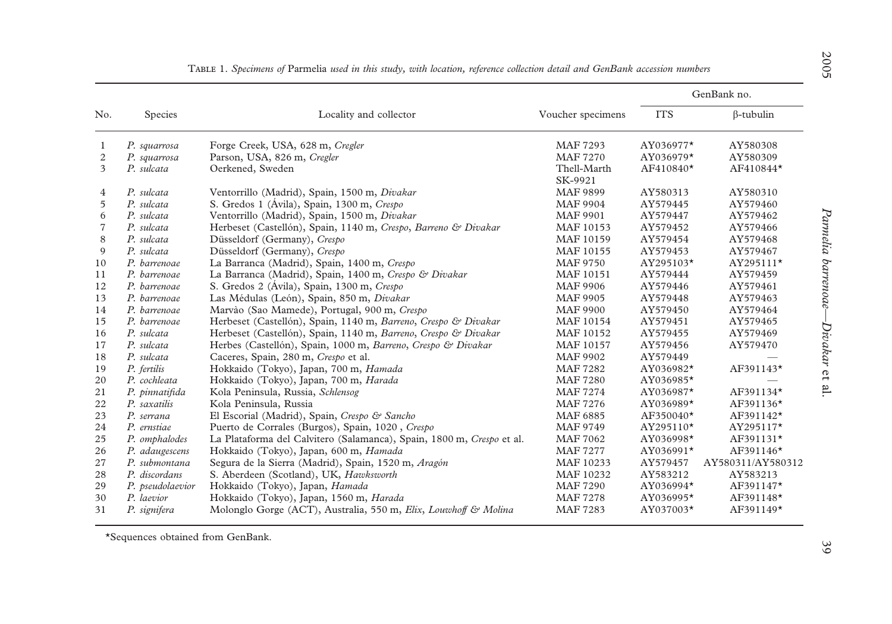| No.            |                  |                                                                       |                        | GenBank no. |                   |  |
|----------------|------------------|-----------------------------------------------------------------------|------------------------|-------------|-------------------|--|
|                | Species          | Locality and collector                                                | Voucher specimens      | <b>ITS</b>  | $\beta$ -tubulin  |  |
| 1              | P. squarrosa     | Forge Creek, USA, 628 m, Cregler                                      | MAF 7293               | AY036977*   | AY580308          |  |
| 2              | P. squarrosa     | Parson, USA, 826 m, Cregler                                           | <b>MAF 7270</b>        | AY036979*   | AY580309          |  |
| 3              | P. sulcata       | Oerkened, Sweden                                                      | Thell-Marth<br>SK-9921 | AF410840*   | AF410844*         |  |
| $\overline{4}$ | P. sulcata       | Ventorrillo (Madrid), Spain, 1500 m, Divakar                          | <b>MAF 9899</b>        | AY580313    | AY580310          |  |
| 5              | P. sulcata       | S. Gredos 1 (Ávila), Spain, 1300 m, Crespo                            | <b>MAF 9904</b>        | AY579445    | AY579460          |  |
| 6              | P. sulcata       | Ventorrillo (Madrid), Spain, 1500 m, Divakar                          | <b>MAF 9901</b>        | AY579447    | AY579462          |  |
| $\overline{7}$ | P. sulcata       | Herbeset (Castellón), Spain, 1140 m, Crespo, Barreno & Divakar        | MAF 10153              | AY579452    | AY579466          |  |
| 8              | P. sulcata       | Düsseldorf (Germany), Crespo                                          | MAF 10159              | AY579454    | AY579468          |  |
| 9              | P. sulcata       | Düsseldorf (Germany), Crespo                                          | MAF 10155              | AY579453    | AY579467          |  |
| 10             | P. barrenoae     | La Barranca (Madrid), Spain, 1400 m, Crespo                           | MAF 9750               | AY295103*   | AY295111*         |  |
| 11             | P. barrenoae     | La Barranca (Madrid), Spain, 1400 m, Crespo & Divakar                 | MAF 10151              | AY579444    | AY579459          |  |
| 12             | P. barrenoae     | S. Gredos 2 (Avila), Spain, 1300 m, Crespo                            | <b>MAF 9906</b>        | AY579446    | AY579461          |  |
| 13             | P. barrenoae     | Las Médulas (León), Spain, 850 m, Divakar                             | MAF 9905               | AY579448    | AY579463          |  |
| 14             | P. barrenoae     | Marvào (Sao Mamede), Portugal, 900 m, Crespo                          | <b>MAF 9900</b>        | AY579450    | AY579464          |  |
| 15             | P. barrenoae     | Herbeset (Castellón), Spain, 1140 m, Barreno, Crespo & Divakar        | MAF 10154              | AY579451    | AY579465          |  |
| 16             | P. sulcata       | Herbeset (Castellón), Spain, 1140 m, Barreno, Crespo & Divakar        | MAF 10152              | AY579455    | AY579469          |  |
| 17             | P. sulcata       | Herbes (Castellón), Spain, 1000 m, Barreno, Crespo & Divakar          | MAF 10157              | AY579456    | AY579470          |  |
| 18             | P. sulcata       | Caceres, Spain, 280 m, Crespo et al.                                  | <b>MAF 9902</b>        | AY579449    |                   |  |
| 19             | P. fertilis      | Hokkaido (Tokyo), Japan, 700 m, Hamada                                | <b>MAF 7282</b>        | AY036982*   | AF391143*         |  |
| 20             | P. cochleata     | Hokkaido (Tokyo), Japan, 700 m, Harada                                | <b>MAF 7280</b>        | AY036985*   |                   |  |
| 21             | P. pinnatifida   | Kola Peninsula, Russia, Schlensog                                     | <b>MAF 7274</b>        | AY036987*   | AF391134*         |  |
| 22             | P. saxatilis     | Kola Peninsula, Russia                                                | MAF 7276               | AY036989*   | AF391136*         |  |
| 23             | P. serrana       | El Escorial (Madrid), Spain, Crespo & Sancho                          | MAF 6885               | AF350040*   | AF391142*         |  |
| 24             | P. ernstiae      | Puerto de Corrales (Burgos), Spain, 1020, Crespo                      | MAF 9749               | AY295110*   | AY295117*         |  |
| 25             | P. omphalodes    | La Plataforma del Calvitero (Salamanca), Spain, 1800 m, Crespo et al. | <b>MAF 7062</b>        | AY036998*   | AF391131*         |  |
| 26             | P. adaugescens   | Hokkaido (Tokyo), Japan, 600 m, Hamada                                | <b>MAF 7277</b>        | AY036991*   | AF391146*         |  |
| 27             | P. submontana    | Segura de la Sierra (Madrid), Spain, 1520 m, Aragón                   | MAF 10233              | AY579457    | AY580311/AY580312 |  |
| 28             | P. discordans    | S. Aberdeen (Scotland), UK, Hawksworth                                | MAF 10232              | AY583212    | AY583213          |  |
| 29             | P. pseudolaevior | Hokkaido (Tokyo), Japan, Hamada                                       | <b>MAF 7290</b>        | AY036994*   | AF391147*         |  |
| 30             | P. laevior       | Hokkaido (Tokyo), Japan, 1560 m, Harada                               | <b>MAF 7278</b>        | AY036995*   | AF391148*         |  |
| 31             | P. signifera     | Molonglo Gorge (ACT), Australia, 550 m, Elix, Louwhoff & Molina       | <b>MAF 7283</b>        | AY037003*   | AF391149*         |  |

|  | TABLE 1. Specimens of Parmelia used in this study, with location, reference collection detail and GenBank accession numbers |  |  |  |  |  |  |  |  |  |  |  |  |
|--|-----------------------------------------------------------------------------------------------------------------------------|--|--|--|--|--|--|--|--|--|--|--|--|
|--|-----------------------------------------------------------------------------------------------------------------------------|--|--|--|--|--|--|--|--|--|--|--|--|

\*Sequences obtained from GenBank.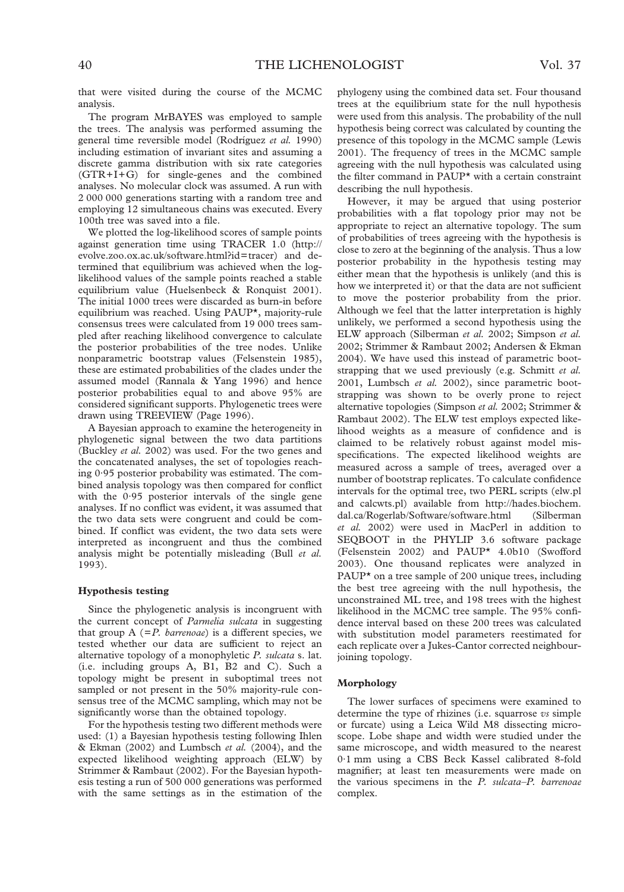that were visited during the course of the MCMC analysis.

The program MrBAYES was employed to sample the trees. The analysis was performed assuming the general time reversible model (Rodríguez *et al.* 1990) including estimation of invariant sites and assuming a discrete gamma distribution with six rate categories (GTR+I+G) for single-genes and the combined analyses. No molecular clock was assumed. A run with 2 000 000 generations starting with a random tree and employing 12 simultaneous chains was executed. Every 100th tree was saved into a file.

We plotted the log-likelihood scores of sample points against generation time using TRACER 1.0 (http:// evolve.zoo.ox.ac.uk/software.html?id=tracer) and determined that equilibrium was achieved when the loglikelihood values of the sample points reached a stable equilibrium value (Huelsenbeck & Ronquist 2001). The initial 1000 trees were discarded as burn-in before equilibrium was reached. Using PAUP\*, majority-rule consensus trees were calculated from 19 000 trees sampled after reaching likelihood convergence to calculate the posterior probabilities of the tree nodes. Unlike nonparametric bootstrap values (Felsenstein 1985), these are estimated probabilities of the clades under the assumed model (Rannala & Yang 1996) and hence posterior probabilities equal to and above 95% are considered significant supports. Phylogenetic trees were drawn using TREEVIEW (Page 1996).

A Bayesian approach to examine the heterogeneity in phylogenetic signal between the two data partitions (Buckley *et al.* 2002) was used. For the two genes and the concatenated analyses, the set of topologies reaching 0·95 posterior probability was estimated. The combined analysis topology was then compared for conflict with the 0·95 posterior intervals of the single gene analyses. If no conflict was evident, it was assumed that the two data sets were congruent and could be combined. If conflict was evident, the two data sets were interpreted as incongruent and thus the combined analysis might be potentially misleading (Bull *et al.* 1993).

#### **Hypothesis testing**

Since the phylogenetic analysis is incongruent with the current concept of *Parmelia sulcata* in suggesting that group  $A$  ( $=P$ . *barrenoae*) is a different species, we tested whether our data are sufficient to reject an alternative topology of a monophyletic *P. sulcata* s. lat. (i.e. including groups A, B1, B2 and C). Such a topology might be present in suboptimal trees not sampled or not present in the 50% majority-rule consensus tree of the MCMC sampling, which may not be significantly worse than the obtained topology.

For the hypothesis testing two different methods were used: (1) a Bayesian hypothesis testing following Ihlen & Ekman (2002) and Lumbsch *et al.* (2004), and the expected likelihood weighting approach (ELW) by Strimmer & Rambaut (2002). For the Bayesian hypothesis testing a run of 500 000 generations was performed with the same settings as in the estimation of the phylogeny using the combined data set. Four thousand trees at the equilibrium state for the null hypothesis were used from this analysis. The probability of the null hypothesis being correct was calculated by counting the presence of this topology in the MCMC sample (Lewis 2001). The frequency of trees in the MCMC sample agreeing with the null hypothesis was calculated using the filter command in PAUP\* with a certain constraint describing the null hypothesis.

However, it may be argued that using posterior probabilities with a flat topology prior may not be appropriate to reject an alternative topology. The sum of probabilities of trees agreeing with the hypothesis is close to zero at the beginning of the analysis. Thus a low posterior probability in the hypothesis testing may either mean that the hypothesis is unlikely (and this is how we interpreted it) or that the data are not sufficient to move the posterior probability from the prior. Although we feel that the latter interpretation is highly unlikely, we performed a second hypothesis using the ELW approach (Silberman *et al.* 2002; Simpson *et al.* 2002; Strimmer & Rambaut 2002; Andersen & Ekman 2004). We have used this instead of parametric bootstrapping that we used previously (e.g. Schmitt *et al.* 2001, Lumbsch *et al.* 2002), since parametric bootstrapping was shown to be overly prone to reject alternative topologies (Simpson *et al.* 2002; Strimmer & Rambaut 2002). The ELW test employs expected likelihood weights as a measure of confidence and is claimed to be relatively robust against model misspecifications. The expected likelihood weights are measured across a sample of trees, averaged over a number of bootstrap replicates. To calculate confidence intervals for the optimal tree, two PERL scripts (elw.pl and calcwts.pl) available from http://hades.biochem. dal.ca/Rogerlab/Software/software.html (Silberman *et al.* 2002) were used in MacPerl in addition to SEQBOOT in the PHYLIP 3.6 software package (Felsenstein 2002) and PAUP\* 4.0b10 (Swofford 2003). One thousand replicates were analyzed in PAUP\* on a tree sample of 200 unique trees, including the best tree agreeing with the null hypothesis, the unconstrained ML tree, and 198 trees with the highest likelihood in the MCMC tree sample. The 95% confidence interval based on these 200 trees was calculated with substitution model parameters reestimated for each replicate over a Jukes-Cantor corrected neighbourjoining topology.

#### **Morphology**

The lower surfaces of specimens were examined to determine the type of rhizines (i.e. squarrose *vs* simple or furcate) using a Leica Wild M8 dissecting microscope. Lobe shape and width were studied under the same microscope, and width measured to the nearest 0·1 mm using a CBS Beck Kassel calibrated 8-fold magnifier; at least ten measurements were made on the various specimens in the *P. sulcata–P. barrenoae* complex.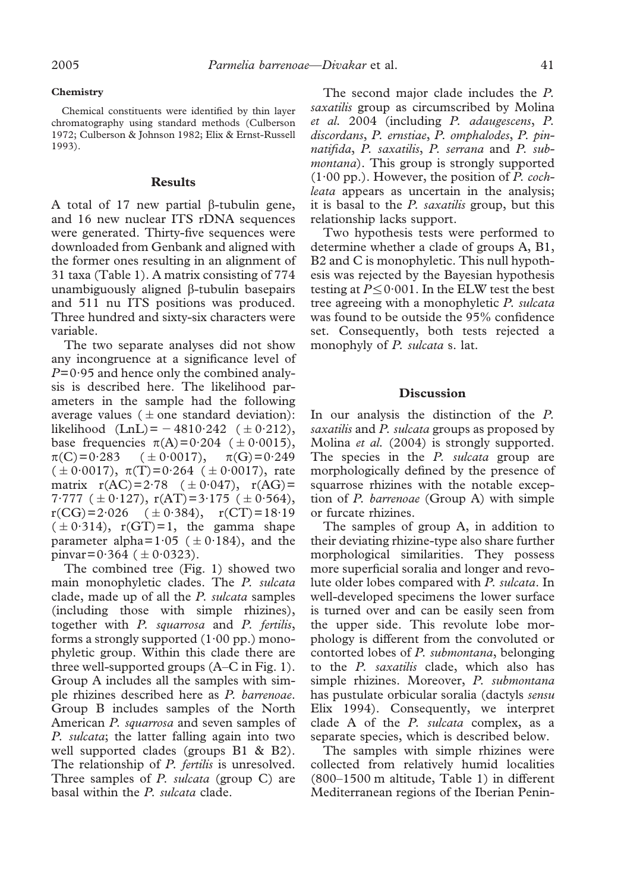#### **Chemistry**

Chemical constituents were identified by thin layer chromatography using standard methods (Culberson 1972; Culberson & Johnson 1982; Elix & Ernst-Russell 1993).

# **Results**

A total of 17 new partial  $\beta$ -tubulin gene, and 16 new nuclear ITS rDNA sequences were generated. Thirty-five sequences were downloaded from Genbank and aligned with the former ones resulting in an alignment of 31 taxa (Table 1). A matrix consisting of 774 unambiguously aligned  $\beta$ -tubulin basepairs and 511 nu ITS positions was produced. Three hundred and sixty-six characters were variable.

The two separate analyses did not show any incongruence at a significance level of *P*=0·95 and hence only the combined analysis is described here. The likelihood parameters in the sample had the following average values ( $\pm$  one standard deviation): likelihood (LnL) = -4810·242 ( $\pm$  0·212), base frequencies  $\pi(A)=0.204$  ( $\pm 0.0015$ ),  $\pi(C)=0.283$   $(\pm 0.0017), \pi(G)=0.249$  $(\pm 0.0017)$ ,  $\pi(T)=0.264$  ( $\pm 0.0017$ ), rate matrix  $r(AC)=2.78$   $(\pm 0.047)$ ,  $r(AG)=$ 7.777 ( $\pm$  0.127), r(AT)=3.175 ( $\pm$  0.564),  $r(CG)=2.026$   $(\pm 0.384)$ ,  $r(CT)=18.19$  $(\pm 0.314)$ , r(GT)=1, the gamma shape parameter alpha= $1.05$  ( $\pm 0.184$ ), and the pinvar= $0.364$  ( $\pm 0.0323$ ).

The combined tree (Fig. 1) showed two main monophyletic clades. The *P. sulcata* clade, made up of all the *P. sulcata* samples (including those with simple rhizines), together with *P. squarrosa* and *P. fertilis*, forms a strongly supported  $(1.00 \text{ pp.})$  monophyletic group. Within this clade there are three well-supported groups (A–C in Fig. 1). Group A includes all the samples with simple rhizines described here as *P. barrenoae*. Group B includes samples of the North American *P. squarrosa* and seven samples of *P. sulcata*; the latter falling again into two well supported clades (groups B1 & B2). The relationship of *P. fertilis* is unresolved. Three samples of *P. sulcata* (group C) are basal within the *P. sulcata* clade.

The second major clade includes the *P. saxatilis* group as circumscribed by Molina *et al.* 2004 (including *P. adaugescens*, *P. discordans*, *P. ernstiae*, *P. omphalodes*, *P. pinnatifida*, *P. saxatilis*, *P. serrana* and *P. submontana*). This group is strongly supported (1·00 pp.). However, the position of *P. cochleata* appears as uncertain in the analysis; it is basal to the *P. saxatilis* group, but this relationship lacks support.

Two hypothesis tests were performed to determine whether a clade of groups A, B1, B2 and C is monophyletic. This null hypothesis was rejected by the Bayesian hypothesis testing at  $P \le 0.001$ . In the ELW test the best tree agreeing with a monophyletic *P. sulcata* was found to be outside the 95% confidence set. Consequently, both tests rejected a monophyly of *P. sulcata* s. lat.

# **Discussion**

In our analysis the distinction of the *P. saxatilis* and *P. sulcata* groups as proposed by Molina *et al.* (2004) is strongly supported. The species in the *P. sulcata* group are morphologically defined by the presence of squarrose rhizines with the notable exception of *P. barrenoae* (Group A) with simple or furcate rhizines.

The samples of group A, in addition to their deviating rhizine-type also share further morphological similarities. They possess more superficial soralia and longer and revolute older lobes compared with *P. sulcata*. In well-developed specimens the lower surface is turned over and can be easily seen from the upper side. This revolute lobe morphology is different from the convoluted or contorted lobes of *P. submontana*, belonging to the *P. saxatilis* clade, which also has simple rhizines. Moreover, *P. submontana* has pustulate orbicular soralia (dactyls *sensu* Elix 1994). Consequently, we interpret clade A of the *P. sulcata* complex, as a separate species, which is described below.

The samples with simple rhizines were collected from relatively humid localities (800–1500 m altitude, Table 1) in different Mediterranean regions of the Iberian Penin-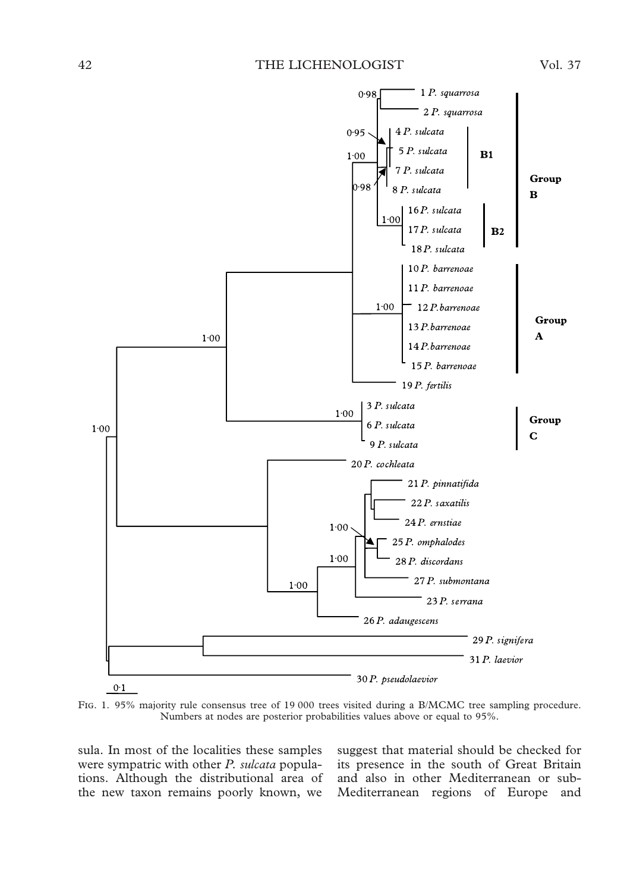

FIG. 1. 95% majority rule consensus tree of 19 000 trees visited during a B/MCMC tree sampling procedure. Numbers at nodes are posterior probabilities values above or equal to 95%.

sula. In most of the localities these samples were sympatric with other *P. sulcata* populations. Although the distributional area of the new taxon remains poorly known, we

suggest that material should be checked for its presence in the south of Great Britain and also in other Mediterranean or sub-Mediterranean regions of Europe and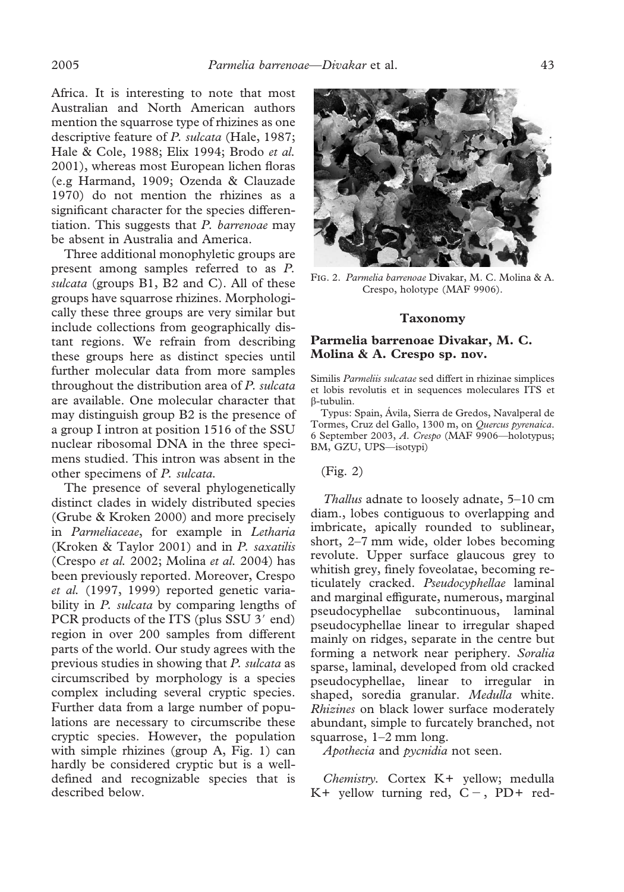Africa. It is interesting to note that most Australian and North American authors mention the squarrose type of rhizines as one descriptive feature of *P. sulcata* (Hale, 1987; Hale & Cole, 1988; Elix 1994; Brodo *et al.* 2001), whereas most European lichen floras (e.g Harmand, 1909; Ozenda & Clauzade 1970) do not mention the rhizines as a significant character for the species differentiation. This suggests that *P. barrenoae* may be absent in Australia and America.

Three additional monophyletic groups are present among samples referred to as *P. sulcata* (groups B1, B2 and C). All of these groups have squarrose rhizines. Morphologically these three groups are very similar but include collections from geographically distant regions. We refrain from describing these groups here as distinct species until further molecular data from more samples throughout the distribution area of *P. sulcata* are available. One molecular character that may distinguish group B2 is the presence of a group I intron at position 1516 of the SSU nuclear ribosomal DNA in the three specimens studied. This intron was absent in the other specimens of *P. sulcata.*

The presence of several phylogenetically distinct clades in widely distributed species (Grube & Kroken 2000) and more precisely in *Parmeliaceae*, for example in *Letharia* (Kroken & Taylor 2001) and in *P. saxatilis* (Crespo *et al.* 2002; Molina *et al.* 2004) has been previously reported. Moreover, Crespo *et al.* (1997, 1999) reported genetic variability in *P. sulcata* by comparing lengths of PCR products of the ITS (plus SSU 3' end) region in over 200 samples from different parts of the world. Our study agrees with the previous studies in showing that *P. sulcata* as circumscribed by morphology is a species complex including several cryptic species. Further data from a large number of populations are necessary to circumscribe these cryptic species. However, the population with simple rhizines (group A, Fig. 1) can hardly be considered cryptic but is a welldefined and recognizable species that is described below.



F. 2. *Parmelia barrenoae* Divakar, M. C. Molina & A. Crespo, holotype (MAF 9906).

## **Taxonomy**

# **Parmelia barrenoae Divakar, M. C. Molina & A. Crespo sp. nov.**

Similis *Parmeliis sulcatae* sed differt in rhizinae simplices et lobis revolutis et in sequences moleculares ITS et -tubulin.

Typus: Spain, Ávila, Sierra de Gredos, Navalperal de Tormes, Cruz del Gallo, 1300 m, on *Quercus pyrenaica*. 6 September 2003, *A. Crespo* (MAF 9906—holotypus; BM, GZU, UPS—isotypi)

# (Fig. 2)

*Thallus* adnate to loosely adnate, 5–10 cm diam., lobes contiguous to overlapping and imbricate, apically rounded to sublinear, short, 2–7 mm wide, older lobes becoming revolute. Upper surface glaucous grey to whitish grey, finely foveolatae, becoming reticulately cracked. *Pseudocyphellae* laminal and marginal effigurate, numerous, marginal pseudocyphellae subcontinuous, laminal pseudocyphellae linear to irregular shaped mainly on ridges, separate in the centre but forming a network near periphery. *Soralia* sparse, laminal, developed from old cracked pseudocyphellae, linear to irregular in shaped, soredia granular. *Medulla* white. *Rhizines* on black lower surface moderately abundant, simple to furcately branched, not squarrose, 1–2 mm long.

*Apothecia* and *pycnidia* not seen.

*Chemistry.* Cortex K+ yellow; medulla K+ yellow turning red,  $C -$ , PD+ red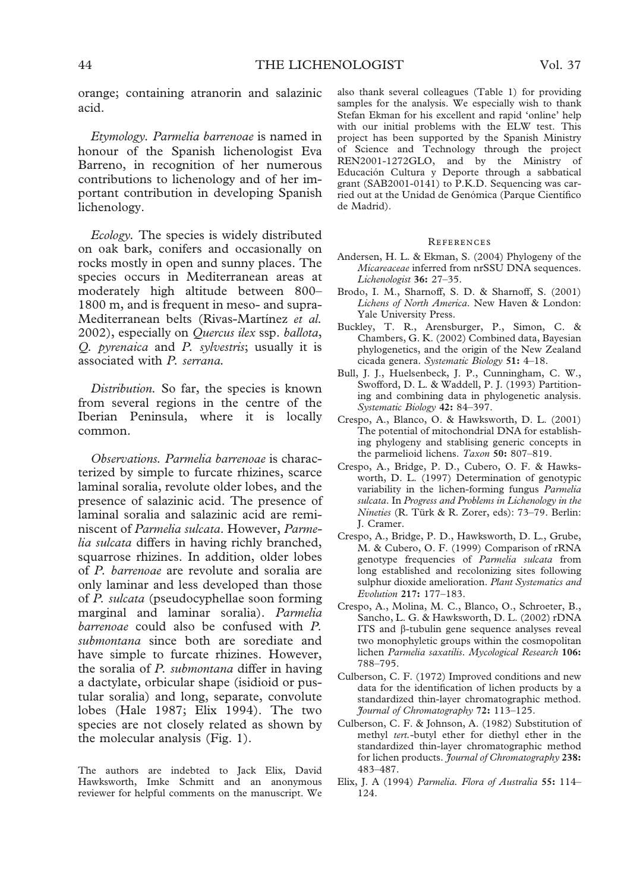orange; containing atranorin and salazinic acid.

*Etymology. Parmelia barrenoae* is named in honour of the Spanish lichenologist Eva Barreno, in recognition of her numerous contributions to lichenology and of her important contribution in developing Spanish lichenology.

*Ecology.* The species is widely distributed on oak bark, conifers and occasionally on rocks mostly in open and sunny places. The species occurs in Mediterranean areas at moderately high altitude between 800– 1800 m, and is frequent in meso- and supra-Mediterranean belts (Rivas-Martínez *et al.* 2002), especially on *Quercus ilex* ssp. *ballota*, *Q. pyrenaica* and *P. sylvestris*; usually it is associated with *P. serrana.*

*Distribution.* So far, the species is known from several regions in the centre of the Iberian Peninsula, where it is locally common.

*Observations. Parmelia barrenoae* is characterized by simple to furcate rhizines, scarce laminal soralia, revolute older lobes, and the presence of salazinic acid. The presence of laminal soralia and salazinic acid are reminiscent of *Parmelia sulcata*. However, *Parmelia sulcata* differs in having richly branched, squarrose rhizines. In addition, older lobes of *P. barrenoae* are revolute and soralia are only laminar and less developed than those of *P. sulcata* (pseudocyphellae soon forming marginal and laminar soralia). *Parmelia barrenoae* could also be confused with *P. submontana* since both are sorediate and have simple to furcate rhizines. However, the soralia of *P. submontana* differ in having a dactylate, orbicular shape (isidioid or pustular soralia) and long, separate, convolute lobes (Hale 1987; Elix 1994). The two species are not closely related as shown by the molecular analysis (Fig. 1).

The authors are indebted to Jack Elix, David Hawksworth, Imke Schmitt and an anonymous reviewer for helpful comments on the manuscript. We also thank several colleagues (Table 1) for providing samples for the analysis. We especially wish to thank Stefan Ekman for his excellent and rapid 'online' help with our initial problems with the ELW test. This project has been supported by the Spanish Ministry of Science and Technology through the project REN2001-1272GLO, and by the Ministry of Educación Cultura y Deporte through a sabbatical grant (SAB2001-0141) to P.K.D. Sequencing was carried out at the Unidad de Genómica (Parque Científico de Madrid).

#### **REFERENCES**

- Andersen, H. L. & Ekman, S. (2004) Phylogeny of the *Micareaceae* inferred from nrSSU DNA sequences. *Lichenologist* **36:** 27–35.
- Brodo, I. M., Sharnoff, S. D. & Sharnoff, S. (2001) *Lichens of North America*. New Haven & London: Yale University Press.
- Buckley, T. R., Arensburger, P., Simon, C. & Chambers, G. K. (2002) Combined data, Bayesian phylogenetics, and the origin of the New Zealand cicada genera. *Systematic Biology* **51:** 4–18.
- Bull, J. J., Huelsenbeck, J. P., Cunningham, C. W., Swofford, D. L. & Waddell, P. J. (1993) Partitioning and combining data in phylogenetic analysis. *Systematic Biology* **42:** 84–397.
- Crespo, A., Blanco, O. & Hawksworth, D. L. (2001) The potential of mitochondrial DNA for establishing phylogeny and stablising generic concepts in the parmelioid lichens. *Taxon* **50:** 807–819.
- Crespo, A., Bridge, P. D., Cubero, O. F. & Hawksworth, D. L. (1997) Determination of genotypic variability in the lichen-forming fungus *Parmelia sulcata*. In *Progress and Problems in Lichenology in the Nineties* (R. Türk & R. Zorer, eds): 73–79. Berlin: J. Cramer.
- Crespo, A., Bridge, P. D., Hawksworth, D. L., Grube, M. & Cubero, O. F. (1999) Comparison of rRNA genotype frequencies of *Parmelia sulcata* from long established and recolonizing sites following sulphur dioxide amelioration. *Plant Systematics and Evolution* **217:** 177–183.
- Crespo, A., Molina, M. C., Blanco, O., Schroeter, B., Sancho, L. G. & Hawksworth, D. L. (2002) rDNA ITS and  $\beta$ -tubulin gene sequence analyses reveal two monophyletic groups within the cosmopolitan lichen *Parmelia saxatilis*. *Mycological Research* **106:** 788–795.
- Culberson, C. F. (1972) Improved conditions and new data for the identification of lichen products by a standardized thin-layer chromatographic method. *Journal of Chromatography* **72:** 113–125.
- Culberson, C. F. & Johnson, A. (1982) Substitution of methyl *tert.*-butyl ether for diethyl ether in the standardized thin-layer chromatographic method for lichen products. *Journal of Chromatography* **238:** 483–487.
- Elix, J. A (1994) *Parmelia. Flora of Australia* **55:** 114– 124.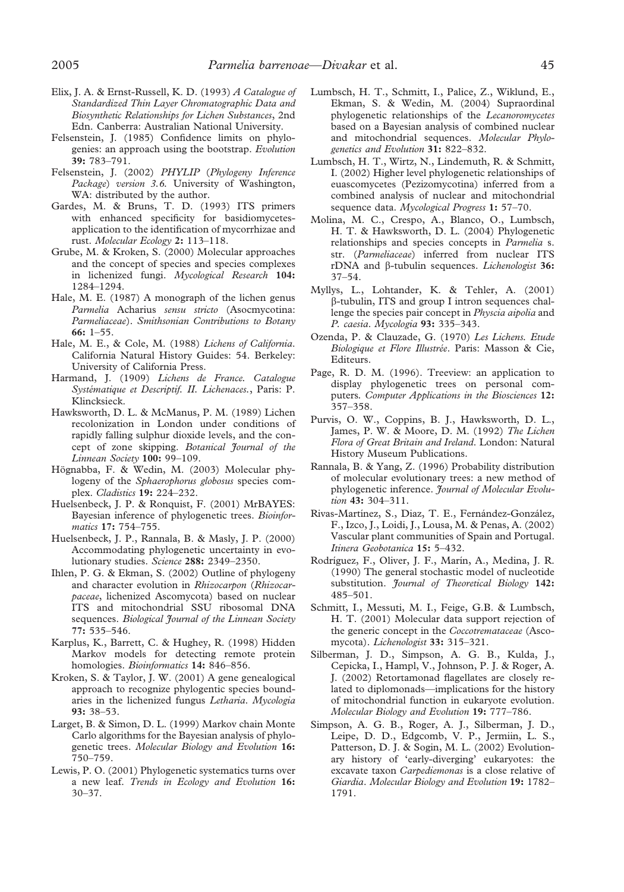- Elix, J. A. & Ernst-Russell, K. D. (1993) *A Catalogue of Standardized Thin Layer Chromatographic Data and Biosynthetic Relationships for Lichen Substances*, 2nd Edn. Canberra: Australian National University.
- Felsenstein, J. (1985) Confidence limits on phylogenies: an approach using the bootstrap. *Evolution* **39:** 783–791.
- Felsenstein, J. (2002) *PHYLIP* (*Phylogeny Inference Package*) *version 3.6.* University of Washington, WA: distributed by the author.
- Gardes, M. & Bruns, T. D. (1993) ITS primers with enhanced specificity for basidiomycetesapplication to the identification of mycorrhizae and rust. *Molecular Ecology* **2:** 113–118.
- Grube, M. & Kroken, S. (2000) Molecular approaches and the concept of species and species complexes in lichenized fungi. *Mycological Research* **104:** 1284–1294.
- Hale, M. E. (1987) A monograph of the lichen genus *Parmelia* Acharius *sensu stricto* (Asocmycotina: *Parmeliaceae*). *Smithsonian Contributions to Botany* **66:** 1–55.
- Hale, M. E., & Cole, M. (1988) *Lichens of California*. California Natural History Guides: 54. Berkeley: University of California Press.
- Harmand, J. (1909) *Lichens de France. Catalogue Systématique et Descriptif. II. Lichenaces.*, Paris: P. Klincksieck.
- Hawksworth, D. L. & McManus, P. M. (1989) Lichen recolonization in London under conditions of rapidly falling sulphur dioxide levels, and the concept of zone skipping. *Botanical Journal of the Linnean Society* **100:** 99–109.
- Högnabba, F. & Wedin, M. (2003) Molecular phylogeny of the *Sphaerophorus globosus* species complex. *Cladistics* **19:** 224–232.
- Huelsenbeck, J. P. & Ronquist, F. (2001) MrBAYES: Bayesian inference of phylogenetic trees. *Bioinformatics* **17:** 754–755.
- Huelsenbeck, J. P., Rannala, B. & Masly, J. P. (2000) Accommodating phylogenetic uncertainty in evolutionary studies. *Science* **288:** 2349–2350.
- Ihlen, P. G. & Ekman, S. (2002) Outline of phylogeny and character evolution in *Rhizocarpon* (*Rhizocarpaceae*, lichenized Ascomycota) based on nuclear ITS and mitochondrial SSU ribosomal DNA sequences. *Biological Journal of the Linnean Society* **77:** 535–546.
- Karplus, K., Barrett, C. & Hughey, R. (1998) Hidden Markov models for detecting remote protein homologies. *Bioinformatics* **14:** 846–856.
- Kroken, S. & Taylor, J. W. (2001) A gene genealogical approach to recognize phylogentic species boundaries in the lichenized fungus *Letharia*. *Mycologia* **93:** 38–53.
- Larget, B. & Simon, D. L. (1999) Markov chain Monte Carlo algorithms for the Bayesian analysis of phylogenetic trees. *Molecular Biology and Evolution* **16:** 750–759.
- Lewis, P. O. (2001) Phylogenetic systematics turns over a new leaf. *Trends in Ecology and Evolution* **16:** 30–37.
- Lumbsch, H. T., Schmitt, I., Palice, Z., Wiklund, E., Ekman, S. & Wedin, M. (2004) Supraordinal phylogenetic relationships of the *Lecanoromycetes* based on a Bayesian analysis of combined nuclear and mitochondrial sequences. *Molecular Phylogenetics and Evolution* **31:** 822–832.
- Lumbsch, H. T., Wirtz, N., Lindemuth, R. & Schmitt, I. (2002) Higher level phylogenetic relationships of euascomycetes (Pezizomycotina) inferred from a combined analysis of nuclear and mitochondrial sequence data. *Mycological Progress* **1:** 57–70.
- Molina, M. C., Crespo, A., Blanco, O., Lumbsch, H. T. & Hawksworth, D. L. (2004) Phylogenetic relationships and species concepts in *Parmelia* s. str. (*Parmeliaceae*) inferred from nuclear ITS rDNA and β-tubulin sequences. *Lichenologist* 36: 37–54.
- Myllys, L., Lohtander, K. & Tehler, A. (2001) -tubulin, ITS and group I intron sequences challenge the species pair concept in *Physcia aipolia* and *P. caesia*. *Mycologia* **93:** 335–343.
- Ozenda, P. & Clauzade, G. (1970) *Les Lichens. Etude Biologique et Flore Illustre´e*. Paris: Masson & Cie, Editeurs.
- Page, R. D. M. (1996). Treeview: an application to display phylogenetic trees on personal computers*. Computer Applications in the Biosciences* **12:** 357–358.
- Purvis, O. W., Coppins, B. J., Hawksworth, D. L., James, P. W. & Moore, D. M. (1992) *The Lichen Flora of Great Britain and Ireland*. London: Natural History Museum Publications.
- Rannala, B. & Yang, Z. (1996) Probability distribution of molecular evolutionary trees: a new method of phylogenetic inference. *Journal of Molecular Evolution* **43:** 304–311.
- Rivas-Martínez, S., Diaz, T. E., Fernández-González, F., Izco, J., Loidi, J., Lousa, M. & Penas, A. (2002) Vascular plant communities of Spain and Portugal. *Itinera Geobotanica* **15:** 5–432.
- Rodríguez, F., Oliver, J. F., Marín, A., Medina, J. R. (1990) The general stochastic model of nucleotide substitution. *Journal of Theoretical Biology* **142:** 485–501.
- Schmitt, I., Messuti, M. I., Feige, G.B. & Lumbsch, H. T. (2001) Molecular data support rejection of the generic concept in the *Coccotremataceae* (Ascomycota). *Lichenologist* **33:** 315–321.
- Silberman, J. D., Simpson, A. G. B., Kulda, J., Cepicka, I., Hampl, V., Johnson, P. J. & Roger, A. J. (2002) Retortamonad flagellates are closely related to diplomonads—implications for the history of mitochondrial function in eukaryote evolution. *Molecular Biology and Evolution* **19:** 777–786.
- Simpson, A. G. B., Roger, A. J., Silberman, J. D., Leipe, D. D., Edgcomb, V. P., Jermiin, L. S., Patterson, D. J. & Sogin, M. L. (2002) Evolutionary history of 'early-diverging' eukaryotes: the excavate taxon *Carpediemonas* is a close relative of *Giardia*. *Molecular Biology and Evolution* **19:** 1782– 1791.